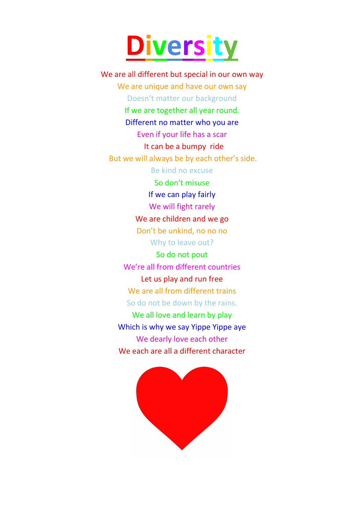## **Diversity**

We are all different but special in our own way We are unique and have our own say Doesn't matter our background

> If we are together all year round. Different no matter who you are Even if your life has a scar

> > It can be a bumpy ride

But we will always be by each other's side.

Be kind no excuse

So don't misuse If we can play fairly We will fight rarely We are children and we go Don't be unkind, no no no Why to leave out?

So do not pout We're all from different countries Let us play and run free We are all from different trains So do not be down by the rains.

We all love and learn by play Which is why we say Yippe Yippe aye We dearly love each other We each are all a different character